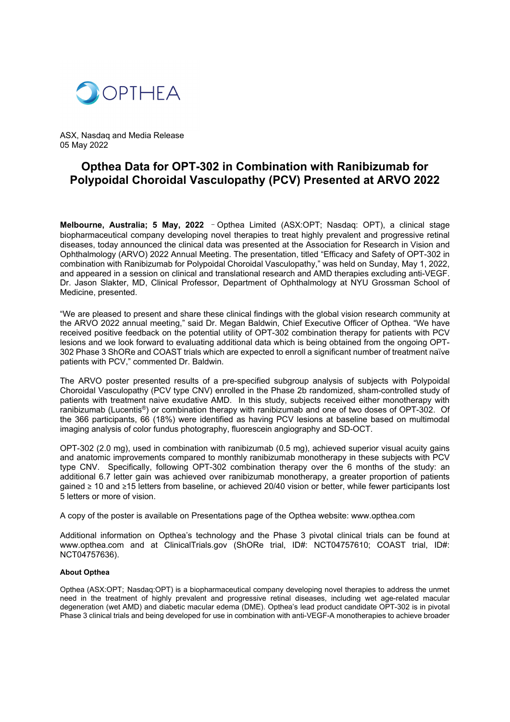

ASX, Nasdaq and Media Release 05 May 2022

# **Opthea Data for OPT-302 in Combination with Ranibizumab for Polypoidal Choroidal Vasculopathy (PCV) Presented at ARVO 2022**

**Melbourne, Australia; 5 May, 2022** –Opthea Limited (ASX:OPT; Nasdaq: OPT), a clinical stage biopharmaceutical company developing novel therapies to treat highly prevalent and progressive retinal diseases, today announced the clinical data was presented at the Association for Research in Vision and Ophthalmology (ARVO) 2022 Annual Meeting. The presentation, titled "Efficacy and Safety of OPT-302 in combination with Ranibizumab for Polypoidal Choroidal Vasculopathy," was held on Sunday, May 1, 2022, and appeared in a session on clinical and translational research and AMD therapies excluding anti-VEGF. Dr. Jason Slakter, MD, Clinical Professor, Department of Ophthalmology at NYU Grossman School of Medicine, presented.

"We are pleased to present and share these clinical findings with the global vision research community at the ARVO 2022 annual meeting," said Dr. Megan Baldwin, Chief Executive Officer of Opthea. "We have received positive feedback on the potential utility of OPT-302 combination therapy for patients with PCV lesions and we look forward to evaluating additional data which is being obtained from the ongoing OPT-302 Phase 3 ShORe and COAST trials which are expected to enroll a significant number of treatment naïve patients with PCV," commented Dr. Baldwin.

The ARVO poster presented results of a pre-specified subgroup analysis of subjects with Polypoidal Choroidal Vasculopathy (PCV type CNV) enrolled in the Phase 2b randomized, sham-controlled study of patients with treatment naive exudative AMD. In this study, subjects received either monotherapy with ranibizumab (Lucentis®) or combination therapy with ranibizumab and one of two doses of OPT-302. Of the 366 participants, 66 (18%) were identified as having PCV lesions at baseline based on multimodal imaging analysis of color fundus photography, fluorescein angiography and SD-OCT.

OPT-302 (2.0 mg), used in combination with ranibizumab (0.5 mg), achieved superior visual acuity gains and anatomic improvements compared to monthly ranibizumab monotherapy in these subjects with PCV type CNV. Specifically, following OPT-302 combination therapy over the 6 months of the study: an additional 6.7 letter gain was achieved over ranibizumab monotherapy, a greater proportion of patients gained ≥ 10 and ≥15 letters from baseline, or achieved 20/40 vision or better, while fewer participants lost 5 letters or more of vision.

A copy of the poster is available on Presentations page of the Opthea website: www.opthea.com

Additional information on Opthea's technology and the Phase 3 pivotal clinical trials can be found at www.opthea.com and at ClinicalTrials.gov (ShORe trial, ID#: NCT04757610; COAST trial, ID#: NCT04757636).

# **About Opthea**

Opthea (ASX:OPT; Nasdaq:OPT) is a biopharmaceutical company developing novel therapies to address the unmet need in the treatment of highly prevalent and progressive retinal diseases, including wet age-related macular degeneration (wet AMD) and diabetic macular edema (DME). Opthea's lead product candidate OPT-302 is in pivotal Phase 3 clinical trials and being developed for use in combination with anti-VEGF-A monotherapies to achieve broader